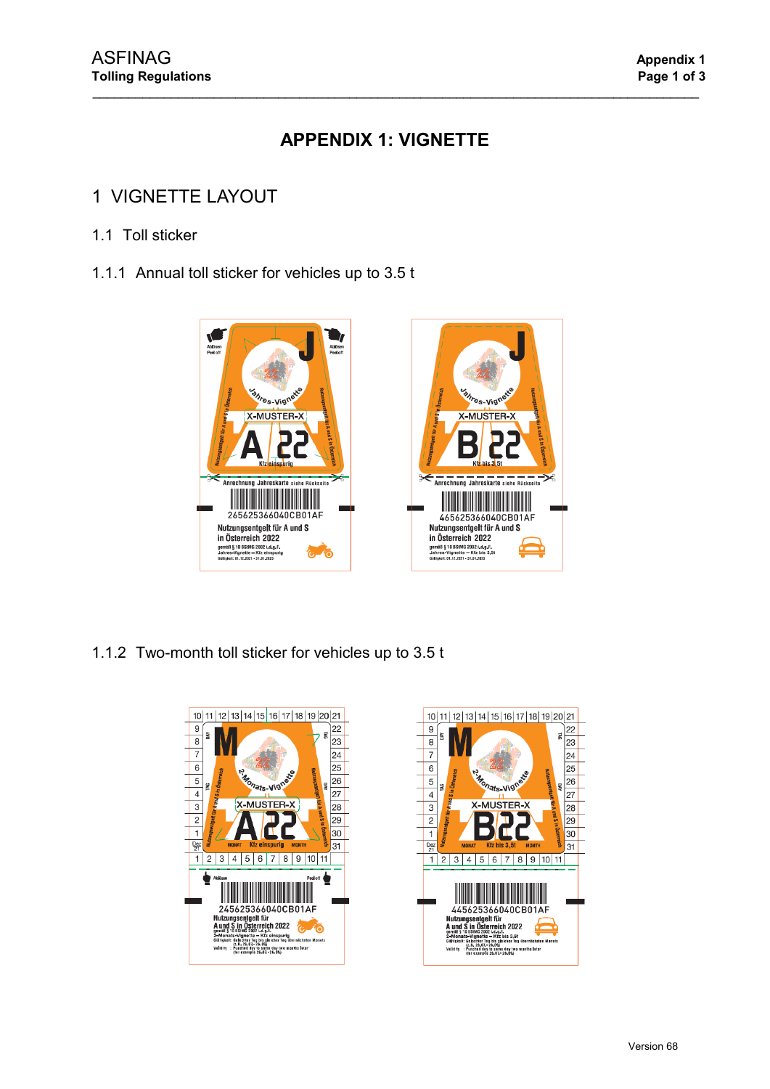# **APPENDIX 1: VIGNETTE**

\_\_\_\_\_\_\_\_\_\_\_\_\_\_\_\_\_\_\_\_\_\_\_\_\_\_\_\_\_\_\_\_\_\_\_\_\_\_\_\_\_\_\_\_\_\_\_\_\_\_\_\_\_\_\_\_\_\_\_\_\_\_\_\_\_\_\_\_\_\_\_\_\_\_\_\_\_\_\_\_\_\_\_\_\_

# 1 VIGNETTE LAYOUT

### 1.1 Toll sticker

1.1.1 Annual toll sticker for vehicles up to 3.5 t



1.1.2 Two-month toll sticker for vehicles up to 3.5 t



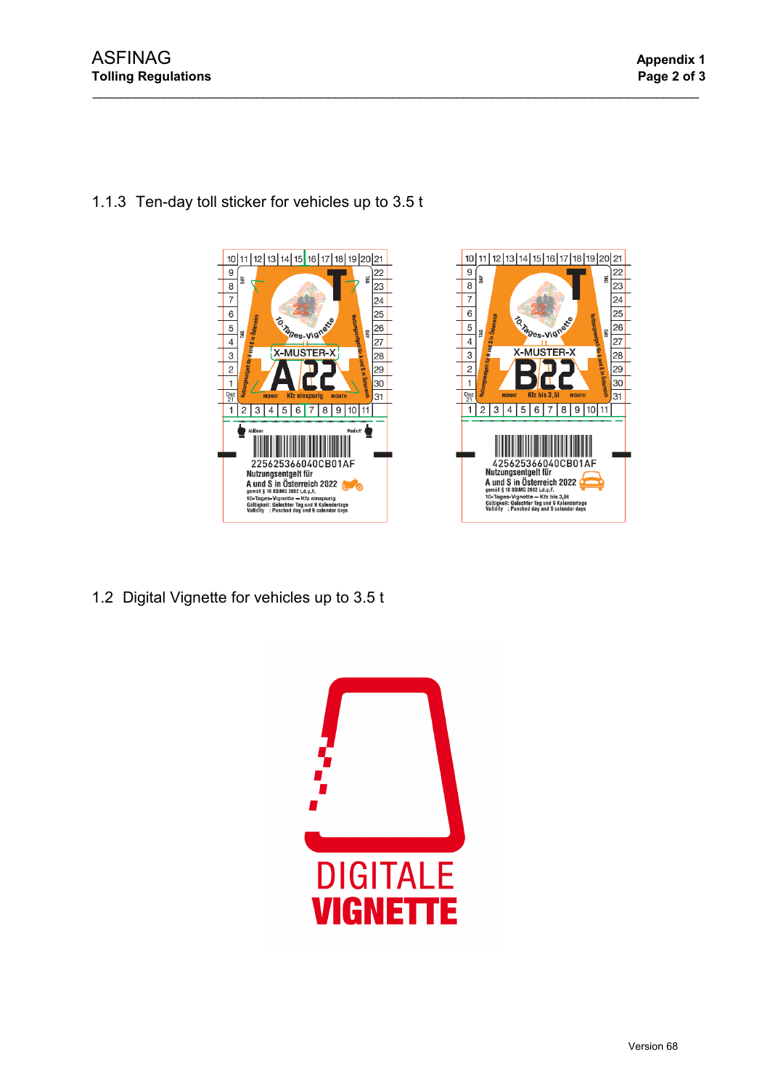

\_\_\_\_\_\_\_\_\_\_\_\_\_\_\_\_\_\_\_\_\_\_\_\_\_\_\_\_\_\_\_\_\_\_\_\_\_\_\_\_\_\_\_\_\_\_\_\_\_\_\_\_\_\_\_\_\_\_\_\_\_\_\_\_\_\_\_\_\_\_\_\_\_\_\_\_\_\_\_\_\_\_\_\_\_

## 1.1.3 Ten-day toll sticker for vehicles up to 3.5 t



1.2 Digital Vignette for vehicles up to 3.5 t